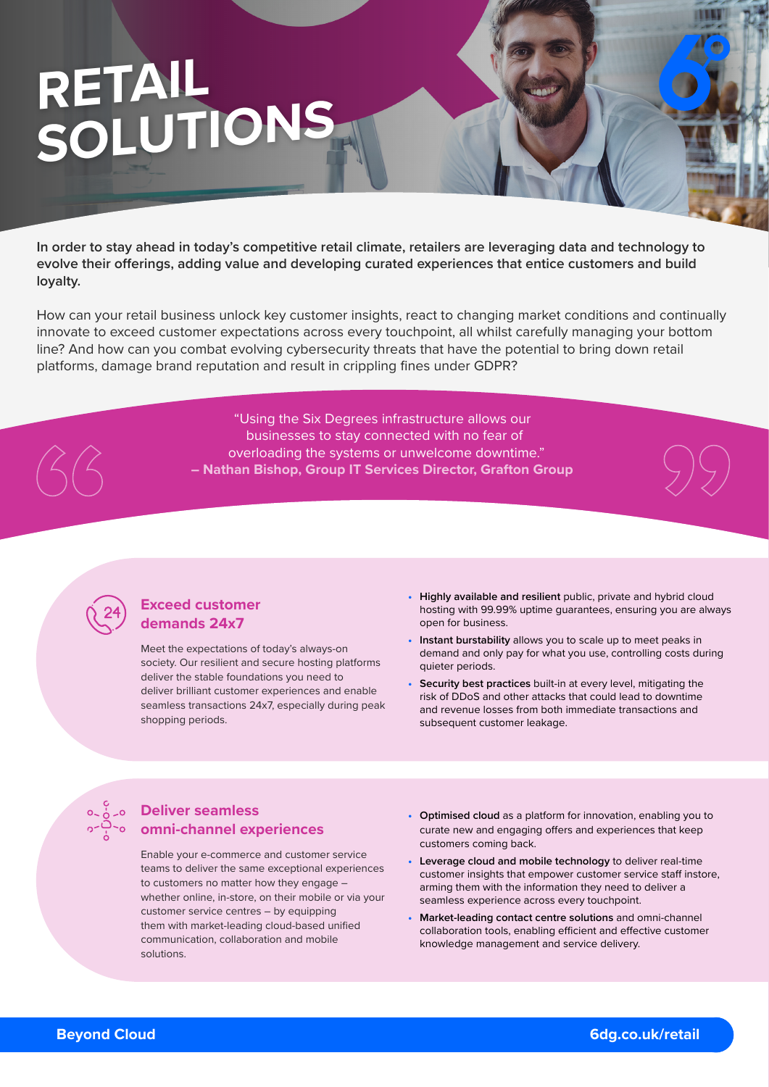# **RETAIL SOLUTIONS**

**In order to stay ahead in today's competitive retail climate, retailers are leveraging data and technology to evolve their offerings, adding value and developing curated experiences that entice customers and build loyalty.**

How can your retail business unlock key customer insights, react to changing market conditions and continually innovate to exceed customer expectations across every touchpoint, all whilst carefully managing your bottom line? And how can you combat evolving cybersecurity threats that have the potential to bring down retail platforms, damage brand reputation and result in crippling fines under GDPR?

> "Using the Six Degrees infrastructure allows our businesses to stay connected with no fear of overloading the systems or unwelcome downtime." **– Nathan Bishop, Group IT Services Director, Grafton Group**

## **Exceed customer demands 24x7**

Meet the expectations of today's always-on society. Our resilient and secure hosting platforms deliver the stable foundations you need to deliver brilliant customer experiences and enable seamless transactions 24x7, especially during peak shopping periods.

- **• Highly available and resilient** public, private and hybrid cloud hosting with 99.99% uptime guarantees, ensuring you are always open for business.
- **• Instant burstability** allows you to scale up to meet peaks in demand and only pay for what you use, controlling costs during quieter periods.
- **• Security best practices** built-in at every level, mitigating the risk of DDoS and other attacks that could lead to downtime and revenue losses from both immediate transactions and subsequent customer leakage.

# **Deliver seamless omni-channel experiences**

Enable your e-commerce and customer service teams to deliver the same exceptional experiences to customers no matter how they engage – whether online, in-store, on their mobile or via your customer service centres – by equipping them with market-leading cloud-based unified communication, collaboration and mobile solutions.

- **• Optimised cloud** as a platform for innovation, enabling you to curate new and engaging offers and experiences that keep customers coming back.
- **• Leverage cloud and mobile technology** to deliver real-time customer insights that empower customer service staff instore, arming them with the information they need to deliver a seamless experience across every touchpoint.
- **• Market-leading contact centre solutions** and omni-channel collaboration tools, enabling efficient and effective customer knowledge management and service delivery.